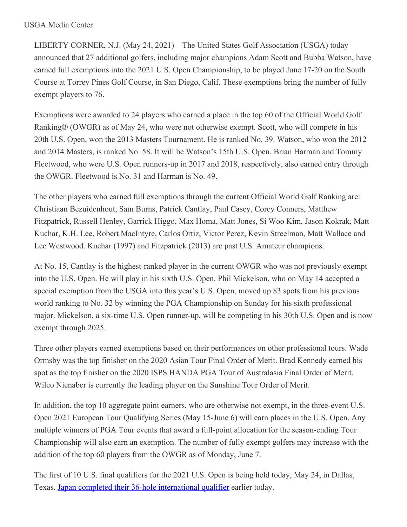LIBERTY CORNER, N.J. (May 24, 2021) – The United States Golf Association (USGA) today announced that 27 additional golfers, including major champions Adam Scott and Bubba Watson, have earned full exemptions into the 2021 U.S. Open Championship, to be played June 17-20 on the South Course at Torrey Pines Golf Course, in San Diego, Calif. These exemptions bring the number of fully exempt players to 76.

Exemptions were awarded to 24 players who earned a place in the top 60 of the Official World Golf Ranking® (OWGR) as of May 24, who were not otherwise exempt. Scott, who will compete in his 20th U.S. Open, won the 2013 Masters Tournament. He is ranked No. 39. Watson, who won the 2012 and 2014 Masters, is ranked No. 58. It will be Watson's 15th U.S. Open. Brian Harman and Tommy Fleetwood, who were U.S. Open runners-up in 2017 and 2018, respectively, also earned entry through the OWGR. Fleetwood is No. 31 and Harman is No. 49.

The other players who earned full exemptions through the current Official World Golf Ranking are: Christiaan Bezuidenhout, Sam Burns, Patrick Cantlay, Paul Casey, Corey Conners, Matthew Fitzpatrick, Russell Henley, Garrick Higgo, Max Homa, Matt Jones, Si Woo Kim, Jason Kokrak, Matt Kuchar, K.H. Lee, Robert MacIntyre, Carlos Ortiz, Victor Perez, Kevin Streelman, Matt Wallace and Lee Westwood. Kuchar (1997) and Fitzpatrick (2013) are past U.S. Amateur champions.

At No. 15, Cantlay is the highest-ranked player in the current OWGR who was not previously exempt into the U.S. Open. He will play in his sixth U.S. Open. Phil Mickelson, who on May 14 accepted a special exemption from the USGA into this year's U.S. Open, moved up 83 spots from his previous world ranking to No. 32 by winning the PGA Championship on Sunday for his sixth professional major. Mickelson, a six-time U.S. Open runner-up, will be competing in his 30th U.S. Open and is now exempt through 2025.

Three other players earned exemptions based on their performances on other professional tours. Wade Ormsby was the top finisher on the 2020 Asian Tour Final Order of Merit. Brad Kennedy earned his spot as the top finisher on the 2020 ISPS HANDA PGA Tour of Australasia Final Order of Merit. Wilco Nienaber is currently the leading player on the Sunshine Tour Order of Merit.

In addition, the top 10 aggregate point earners, who are otherwise not exempt, in the three-event U.S. Open 2021 European Tour Qualifying Series (May 15-June 6) will earn places in the U.S. Open. Any multiple winners of PGA Tour events that award a full-point allocation for the season-ending Tour Championship will also earn an exemption. The number of fully exempt golfers may increase with the addition of the top 60 players from the OWGR as of Monday, June 7.

The first of 10 U.S. final qualifiers for the 2021 U.S. Open is being held today, May 24, in Dallas, Texas. Japan completed their 36-hole [international](https://nam12.safelinks.protection.outlook.com/?url=https%3A%2F%2Fu7061146.ct.sendgrid.net%2Fls%2Fclick%3Fupn%3D4tNED-2FM8iDZJQyQ53jATUeL57j4g94NAOfornnd-2FT3gMlFcEjIYjFNedi2OHGmDrkESwLDdNOpUqzJHeE8W-2FoQ5MKwIKxDyjkun0D8N3-2Ba4-3DAoUX_HSsC7-2BnYo6RFmdvmB8WxSwPfE5OKbL5GHwHc1Y4nlbPPqAUA09MWw0ZqmlBCIWIpsv6oZVFU-2BFpp-2ByIjJmvSNOVGyZzLXVOgw5CsUVl0iva50nrH5T3iqf1sF9WQWCqbsAfokV0EGcikUrMIroExmECLA-2BGb-2FriFRWtvXtEEF51kRpYsOzHmH-2BazbLbtB0CiqmO9Icb9cOa7HXOolbS-2BmxeEaKq7EChJNZSiWzXh757YXopHv5zV-2BOUvHn5eksGdLitfCudtReWgV1jcNW-2BIduyWZQ4gprSa44aBmvZUdwfsq3MiQbS7sGqsdIpM0sUzkqTsDn-2FK-2FAXsdAMZV25rNw-3D-3D&data=04%7C01%7Cjgeske%40usga.org%7Ccd4f1f3e2da04cdb4c6708d91ef70917%7C17abf7083a064391bdbd06808d1b9f81%7C0%7C0%7C637574868652193824%7CUnknown%7CTWFpbGZsb3d8eyJWIjoiMC4wLjAwMDAiLCJQIjoiV2luMzIiLCJBTiI6Ik1haWwiLCJXVCI6Mn0%3D%7C1000&sdata=r5TpOmg8JILbtBcxgzPdYLISv4nMei93rHGKYDh3PCs%3D&reserved=0) qualifier earlier today.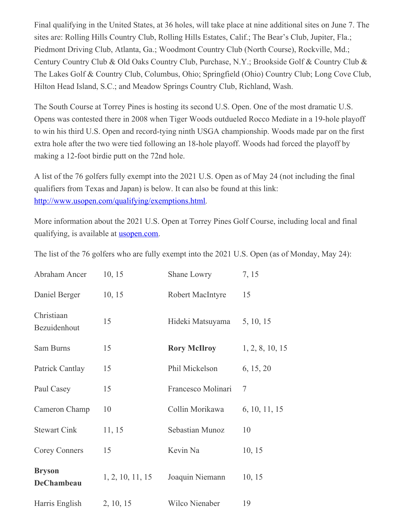Final qualifying in the United States, at 36 holes, will take place at nine additional sites on June 7. The sites are: Rolling Hills Country Club, Rolling Hills Estates, Calif.; The Bear's Club, Jupiter, Fla.; Piedmont Driving Club, Atlanta, Ga.; Woodmont Country Club (North Course), Rockville, Md.; Century Country Club & Old Oaks Country Club, Purchase, N.Y.; Brookside Golf & Country Club & The Lakes Golf & Country Club, Columbus, Ohio; Springfield (Ohio) Country Club; Long Cove Club, Hilton Head Island, S.C.; and Meadow Springs Country Club, Richland, Wash.

The South Course at Torrey Pines is hosting its second U.S. Open. One of the most dramatic U.S. Opens was contested there in 2008 when Tiger Woods outdueled Rocco Mediate in a 19-hole playoff to win his third U.S. Open and record-tying ninth USGA championship. Woods made par on the first extra hole after the two were tied following an 18-hole playoff. Woods had forced the playoff by making a 12-foot birdie putt on the 72nd hole.

A list of the 76 golfers fully exempt into the 2021 U.S. Open as of May 24 (not including the final qualifiers from Texas and Japan) is below. It can also be found at this link: [http://www.usopen.com/qualifying/exemptions.html.](https://nam12.safelinks.protection.outlook.com/?url=https%3A%2F%2Fu7061146.ct.sendgrid.net%2Fls%2Fclick%3Fupn%3DTeZUXWpUv-2B6TCY38pVLo9kKmj1C2VQeLX-2BWzQdspDHBcrG-2B1X8GQ-2BQlrhuxycvgnR0-2FTbZC5ucI-2FmcS-2F-2FpPh2Q-3D-3DyvLN_HSsC7-2BnYo6RFmdvmB8WxSwPfE5OKbL5GHwHc1Y4nlbPPqAUA09MWw0ZqmlBCIWIpsv6oZVFU-2BFpp-2ByIjJmvSNOVGyZzLXVOgw5CsUVl0iva50nrH5T3iqf1sF9WQWCqbsAfokV0EGcikUrMIroExmECLA-2BGb-2FriFRWtvXtEEF51kRpYsOzHmH-2BazbLbtB0CiK-2FM6R0eL-2FjkaqAdebknhibLE37qXwl7GzjfIU8Ku5IjMuVeGkAG1Rvl13gtifRwHvfh1D-2FSEDgXBkpPprTImwY36wyfph06UkwQkNIwDfPff-2BYY-2F6m6PwP1GjsZ-2B-2BpYGA9gN9nl4qqQVTKathyHhGQ-3D-3D&data=04%7C01%7Cjgeske%40usga.org%7Ccd4f1f3e2da04cdb4c6708d91ef70917%7C17abf7083a064391bdbd06808d1b9f81%7C0%7C0%7C637574868652203810%7CUnknown%7CTWFpbGZsb3d8eyJWIjoiMC4wLjAwMDAiLCJQIjoiV2luMzIiLCJBTiI6Ik1haWwiLCJXVCI6Mn0%3D%7C1000&sdata=%2BGF388YEaD0dUXkIcHH%2FytoqVxL1VA6491oxW5a4ltU%3D&reserved=0)

More information about the 2021 U.S. Open at Torrey Pines Golf Course, including local and final qualifying, is available at [usopen.com](https://nam12.safelinks.protection.outlook.com/?url=https%3A%2F%2Fu7061146.ct.sendgrid.net%2Fls%2Fclick%3Fupn%3DTeZUXWpUv-2B6TCY38pVLo9p6JmzuOBoaQmssfIej4y8E-3DFhBZ_HSsC7-2BnYo6RFmdvmB8WxSwPfE5OKbL5GHwHc1Y4nlbPPqAUA09MWw0ZqmlBCIWIpsv6oZVFU-2BFpp-2ByIjJmvSNOVGyZzLXVOgw5CsUVl0iva50nrH5T3iqf1sF9WQWCqbsAfokV0EGcikUrMIroExmECLA-2BGb-2FriFRWtvXtEEF51kRpYsOzHmH-2BazbLbtB0CivB84zCmih69CNkKljzOjvJt3dtej0vSprFQiYjgTk9tR2ZMeHX9WXI3YnItiTqZbbSxemKlZjAEhFwEl55qRlhNlQODuq-2B1pGMvZu4rqL6fdmdKBCgUssosucowrBx-2BCuS-2BJhtqsgEn1rBF29HyNOA-3D-3D&data=04%7C01%7Cjgeske%40usga.org%7Ccd4f1f3e2da04cdb4c6708d91ef70917%7C17abf7083a064391bdbd06808d1b9f81%7C0%7C0%7C637574868652203810%7CUnknown%7CTWFpbGZsb3d8eyJWIjoiMC4wLjAwMDAiLCJQIjoiV2luMzIiLCJBTiI6Ik1haWwiLCJXVCI6Mn0%3D%7C1000&sdata=HxTQ03BOqTkWjdQ%2Bbzm9YySZYOswX13PCvH0PoVokh4%3D&reserved=0).

The list of the 76 golfers who are fully exempt into the 2021 U.S. Open (as of Monday, May 24):

| Abraham Ancer               | 10, 15           | Shane Lowry         | 7, 15           |
|-----------------------------|------------------|---------------------|-----------------|
| Daniel Berger               | 10, 15           | Robert MacIntyre    | 15              |
| Christiaan<br>Bezuidenhout  | 15               | Hideki Matsuyama    | 5, 10, 15       |
| Sam Burns                   | 15               | <b>Rory McIlroy</b> | 1, 2, 8, 10, 15 |
| Patrick Cantlay             | 15               | Phil Mickelson      | 6, 15, 20       |
| Paul Casey                  | 15               | Francesco Molinari  | 7               |
| Cameron Champ               | 10               | Collin Morikawa     | 6, 10, 11, 15   |
| <b>Stewart Cink</b>         | 11, 15           | Sebastian Munoz     | 10              |
| <b>Corey Conners</b>        | 15               | Kevin Na            | 10, 15          |
| <b>Bryson</b><br>DeChambeau | 1, 2, 10, 11, 15 | Joaquin Niemann     | 10, 15          |
| Harris English              | 2, 10, 15        | Wilco Nienaber      | 19              |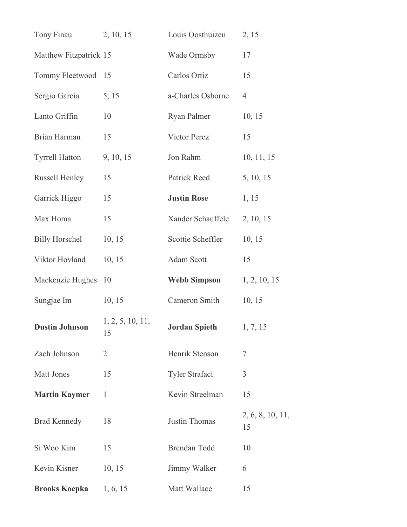| Tony Finau             | 2, 10, 15              | Louis Oosthuizen              | 2, 15                  |
|------------------------|------------------------|-------------------------------|------------------------|
| Matthew Fitzpatrick 15 |                        | Wade Ormsby                   | 17                     |
| Tommy Fleetwood 15     |                        | Carlos Ortiz                  | 15                     |
| Sergio Garcia          | 5, 15                  | a-Charles Osborne             | $\overline{4}$         |
| Lanto Griffin          | 10                     | Ryan Palmer                   | 10, 15                 |
| Brian Harman           | 15                     | Victor Perez                  | 15                     |
| <b>Tyrrell Hatton</b>  | 9, 10, 15              | Jon Rahm                      | 10, 11, 15             |
| <b>Russell Henley</b>  | 15                     | Patrick Reed                  | 5, 10, 15              |
| Garrick Higgo          | 15                     | <b>Justin Rose</b>            | 1, 15                  |
| Max Homa               | 15                     | Xander Schauffele             | 2, 10, 15              |
| <b>Billy Horschel</b>  | 10, 15                 | Scottie Scheffler             | 10, 15                 |
| Viktor Hovland         | 10, 15                 | Adam Scott                    | 15                     |
| Mackenzie Hughes       | 10                     | <b>Webb Simpson</b>           | 1, 2, 10, 15           |
| Sungjae Im             | 10, 15                 | Cameron Smith                 | 10, 15                 |
| <b>Dustin Johnson</b>  | 1, 2, 5, 10, 11,<br>15 | <b>Jordan Spieth</b> 1, 7, 15 |                        |
| Zach Johnson           | $\overline{2}$         | Henrik Stenson                | 7                      |
| <b>Matt Jones</b>      | 15                     | Tyler Strafaci                | 3                      |
| <b>Martin Kaymer</b>   | 1                      | Kevin Streelman               | 15                     |
| <b>Brad Kennedy</b>    | 18                     | Justin Thomas                 | 2, 6, 8, 10, 11,<br>15 |
| Si Woo Kim             | 15                     | Brendan Todd                  | 10                     |
| Kevin Kisner           | 10, 15                 | Jimmy Walker                  | 6                      |
| <b>Brooks Koepka</b>   | 1, 6, 15               | Matt Wallace                  | 15                     |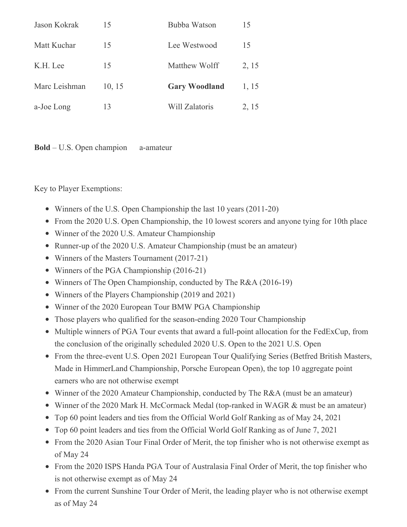| Jason Kokrak  | 15     | Bubba Watson         | 15    |
|---------------|--------|----------------------|-------|
| Matt Kuchar   | 15     | Lee Westwood         | 15    |
| K.H. Lee      | 15     | Matthew Wolff        | 2, 15 |
| Marc Leishman | 10, 15 | <b>Gary Woodland</b> | 1, 15 |
| a-Joe Long    | 13     | Will Zalatoris       | 2, 15 |

**Bold** – U.S. Open champion a-amateur

Key to Player Exemptions:

- Winners of the U.S. Open Championship the last 10 years (2011-20)
- From the 2020 U.S. Open Championship, the 10 lowest scorers and anyone tying for 10th place
- Winner of the 2020 U.S. Amateur Championship
- Runner-up of the 2020 U.S. Amateur Championship (must be an amateur)
- Winners of the Masters Tournament (2017-21)
- Winners of the PGA Championship (2016-21)
- Winners of The Open Championship, conducted by The R&A (2016-19)
- Winners of the Players Championship (2019 and 2021)
- Winner of the 2020 European Tour BMW PGA Championship
- Those players who qualified for the season-ending 2020 Tour Championship
- Multiple winners of PGA Tour events that award a full-point allocation for the FedExCup, from the conclusion of the originally scheduled 2020 U.S. Open to the 2021 U.S. Open
- From the three-event U.S. Open 2021 European Tour Qualifying Series (Betfred British Masters, Made in HimmerLand Championship, Porsche European Open), the top 10 aggregate point earners who are not otherwise exempt
- Winner of the 2020 Amateur Championship, conducted by The R&A (must be an amateur)
- Winner of the 2020 Mark H. McCormack Medal (top-ranked in WAGR & must be an amateur)
- Top 60 point leaders and ties from the Official World Golf Ranking as of May 24, 2021
- Top 60 point leaders and ties from the Official World Golf Ranking as of June 7, 2021
- From the 2020 Asian Tour Final Order of Merit, the top finisher who is not otherwise exempt as of May 24
- From the 2020 ISPS Handa PGA Tour of Australasia Final Order of Merit, the top finisher who is not otherwise exempt as of May 24
- From the current Sunshine Tour Order of Merit, the leading player who is not otherwise exempt as of May 24